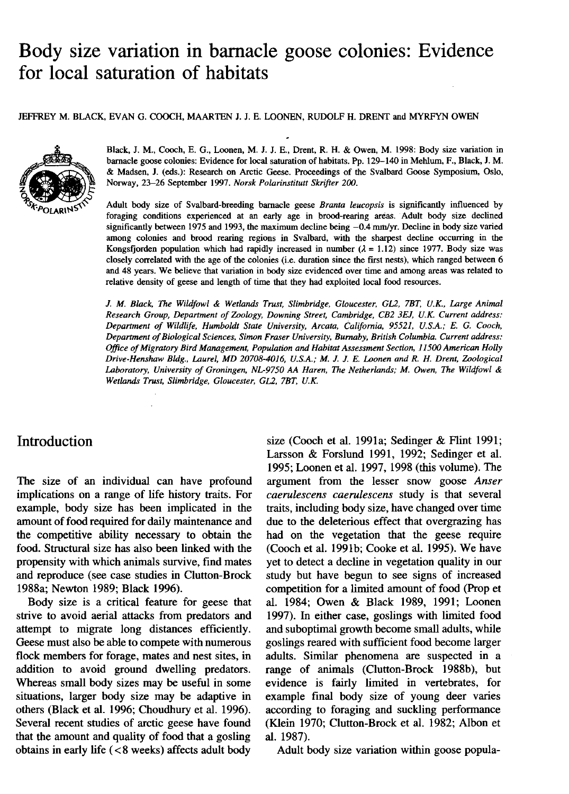# Body size variation in barnacle goose colonies: Evidence for local saturation of habitats

JEFFREY M. BLACK, EVAN G. COOCH, MAARTEN J. J. E. LOONEN, RUDOLF H. DRENT and MYRFYN OWEN



Black, J. M., Cooch, E. G., Loonen, M. J. J. E., Drent, R. H. & Owen, M. 1998: Body size variation in barnacle goose colonies: Evidence for local saturation of habitats. Pp. 129–140 in Mehlum, F., Black, J. M. & Madsen, J. (eds.): Research on Arctic Geese. Proceedings of the Svalbard Goose Symposium, Oslo. Norway, 23-26 September 1997. Norsk Polarinstitutt Skrifter 200.

Adult body size of Svalbard-breeding barnacle geese Branta leucopsis is significantly influenced by foraging conditions experienced at an early age in brood-rearing areas. Adult body size declined significantly between 1975 and 1993, the maximum decline being  $-0.4$  mm/yr. Decline in body size varied among colonies and brood rearing regions in Svalbard, with the sharpest decline occurring in the Kongsfjorden population which had rapidly increased in number ( $\lambda = 1.12$ ) since 1977. Body size was closely correlated with the age of the colonies (i.e. duration since the first nests), which ranged between 6 and 48 years. We believe that variation in body size evidenced over time and among areas was related to relative density of geese and length of time that they had exploited local food resources.

J. M. Black, The Wildfowl & Wetlands Trust, Slimbridge, Gloucester, GL2, 7BT, U.K., Large Animal Research Group, Department of Zoology, Downing Street, Cambridge, CB2 3EJ, U.K. Current address: Department of Wildlife, Humboldt State University, Arcata, California, 95521, U.S.A.; E. G. Cooch, Department of Biological Sciences, Simon Fraser University, Burnaby, British Columbia, Current address; Office of Migratory Bird Management. Population and Habitat Assessment Section, 11500 American Holly Drive-Henshaw Bldg., Laurel, MD 20708-4016, U.S.A.; M. J. J. E. Loonen and R. H. Drent, Zoological Laboratory, University of Groningen, NL-9750 AA Haren, The Netherlands; M. Owen, The Wildfowl & Wetlands Trust, Slimbridge, Gloucester, GL2, 7BT, U.K.

# **Introduction**

The size of an individual can have profound implications on a range of life history traits. For example, body size has been implicated in the amount of food required for daily maintenance and the competitive ability necessary to obtain the food. Structural size has also been linked with the propensity with which animals survive, find mates and reproduce (see case studies in Clutton-Brock 1988a; Newton 1989; Black 1996).

Body size is a critical feature for geese that strive to avoid aerial attacks from predators and attempt to migrate long distances efficiently. Geese must also be able to compete with numerous flock members for forage, mates and nest sites, in addition to avoid ground dwelling predators. Whereas small body sizes may be useful in some situations. larger body size may be adaptive in others (Black et al. 1996; Choudhury et al. 1996). Several recent studies of arctic geese have found that the amount and quality of food that a gosling obtains in early life  $(< 8$  weeks) affects adult body

size (Cooch et al. 1991a; Sedinger & Flint 1991; Larsson & Forslund 1991, 1992; Sedinger et al. 1995; Loonen et al. 1997, 1998 (this volume). The argument from the lesser snow goose Anser caerulescens caerulescens study is that several traits, including body size, have changed over time due to the deleterious effect that overgrazing has had on the vegetation that the geese require (Cooch et al. 1991b; Cooke et al. 1995). We have vet to detect a decline in vegetation quality in our study but have begun to see signs of increased competition for a limited amount of food (Prop et al. 1984: Owen & Black 1989, 1991; Loonen 1997). In either case, goslings with limited food and suboptimal growth become small adults, while goslings reared with sufficient food become larger adults. Similar phenomena are suspected in a range of animals (Clutton-Brock 1988b), but evidence is fairly limited in vertebrates, for example final body size of young deer varies according to foraging and suckling performance (Klein 1970; Clutton-Brock et al. 1982; Albon et al. 1987).

Adult body size variation within goose popula-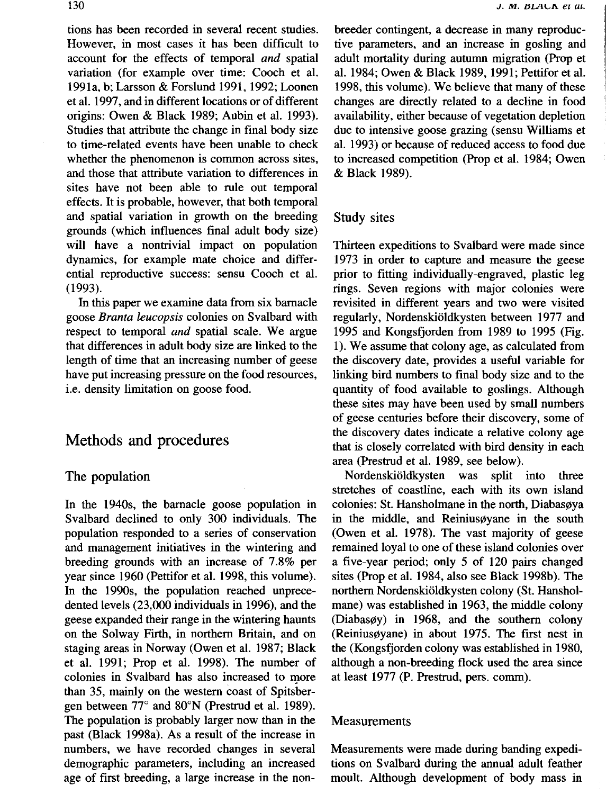tions has been recorded in several recent studies. However, in most cases it has been difficult to account for the effects of temporal and spatial variation (for example over time: Cooch et al. 1991a, b; Larsson & Forslund 1991, 1992; Loonen et al. 1997, and in different locations or of different origins: Owen & Black 1989; Aubin et al. 1993). Studies that attribute the change in final body size to time-related events have been unable to check whether the phenomenon is common across sites, and those that attribute variation to differences in sites have not been able to rule out temporal effects. It is probable, however, that both temporal and spatial variation in growth on the breeding grounds (which influences final adult body size) will have a nontrivial impact on population dynamics, for example mate choice and differential reproductive success: sensu Cooch et al.  $(1993)$ .

In this paper we examine data from six barnacle goose Branta leucopsis colonies on Svalbard with respect to temporal *and* spatial scale. We argue that differences in adult body size are linked to the length of time that an increasing number of geese have put increasing pressure on the food resources, i.e. density limitation on goose food.

# Methods and procedures

### The population

In the 1940s, the barnacle goose population in Svalbard declined to only 300 individuals. The population responded to a series of conservation and management initiatives in the wintering and breeding grounds with an increase of 7.8% per year since 1960 (Pettifor et al. 1998, this volume). In the 1990s, the population reached unprecedented levels (23,000 individuals in 1996), and the geese expanded their range in the wintering haunts on the Solway Firth, in northern Britain, and on staging areas in Norway (Owen et al. 1987; Black et al. 1991; Prop et al. 1998). The number of colonies in Svalbard has also increased to more than 35, mainly on the western coast of Spitsbergen between 77° and 80°N (Prestrud et al. 1989). The population is probably larger now than in the past (Black 1998a). As a result of the increase in numbers, we have recorded changes in several demographic parameters, including an increased age of first breeding, a large increase in the nonbreeder contingent, a decrease in many reproductive parameters, and an increase in gosling and adult mortality during autumn migration (Prop et al. 1984; Owen & Black 1989, 1991; Pettifor et al. 1998, this volume). We believe that many of these changes are directly related to a decline in food availability, either because of vegetation depletion due to intensive goose grazing (sensu Williams et al. 1993) or because of reduced access to food due to increased competition (Prop et al. 1984; Owen & Black 1989).

## Study sites

Thirteen expeditions to Svalbard were made since 1973 in order to capture and measure the geese prior to fitting individually-engraved, plastic leg rings. Seven regions with major colonies were revisited in different years and two were visited regularly, Nordenskiöldkysten between 1977 and 1995 and Kongsfjorden from 1989 to 1995 (Fig. 1). We assume that colony age, as calculated from the discovery date, provides a useful variable for linking bird numbers to final body size and to the quantity of food available to goslings. Although these sites may have been used by small numbers of geese centuries before their discovery, some of the discovery dates indicate a relative colony age that is closely correlated with bird density in each area (Prestrud et al. 1989, see below).

Nordenskiöldkysten was split into three stretches of coastline, each with its own island colonies: St. Hansholmane in the north, Diabasøya in the middle, and Reiniusøyane in the south (Owen et al. 1978). The vast majority of geese remained loyal to one of these island colonies over a five-year period; only 5 of 120 pairs changed sites (Prop et al. 1984, also see Black 1998b). The northern Nordenskiöldkysten colony (St. Hansholmane) was established in 1963, the middle colony (Diabasøy) in 1968, and the southern colony (Reiniusøyane) in about 1975. The first nest in the (Kongsfjorden colony was established in 1980, although a non-breeding flock used the area since at least 1977 (P. Prestrud, pers. comm).

## Measurements

Measurements were made during banding expeditions on Svalbard during the annual adult feather moult. Although development of body mass in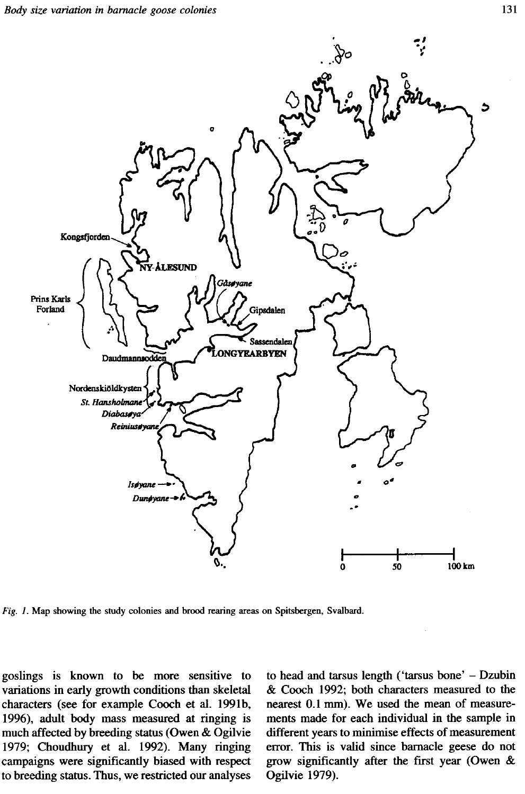

Fig. 1. Map showing the study colonies and brood rearing areas on Spitsbergen, Svalbard.

goslings is known to be more sensitive to variations in early growth conditions than skeletal characters (see for example Cooch et al. 1991b, 1996), adult body mass measured at ringing is much affected by breeding status (Owen & Ogilvie 1979; Choudhury et al. 1992). Many ringing campaigns were significantly biased with respect to breeding status. Thus, we restricted our analyses to head and tarsus length ('tarsus bone' - Dzubin & Cooch 1992; both characters measured to the nearest 0.1 mm). We used the mean of measurements made for each individual in the sample in different years to minimise effects of measurement error. This is valid since barnacle geese do not grow significantly after the first year (Owen & Ogilvie 1979).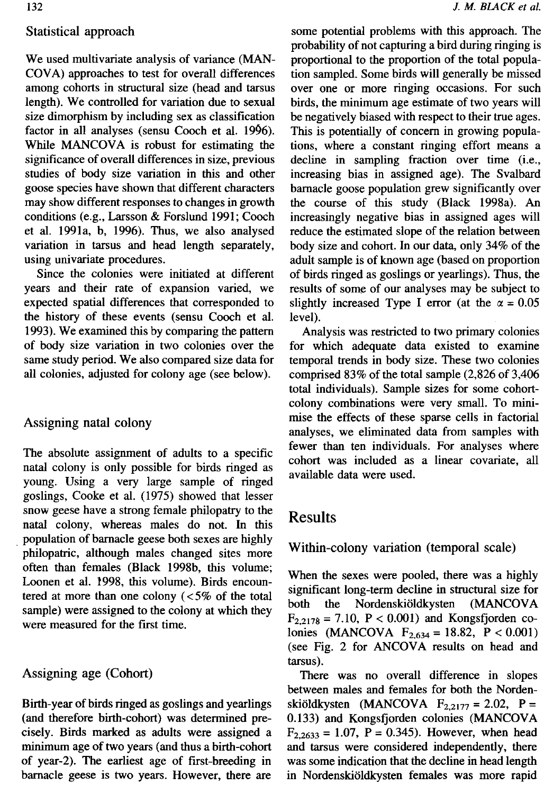## Statistical approach

We used multivariate analysis of variance (MAN-COVA) approaches to test for overall differences among cohorts in structural size (head and tarsus length). We controlled for variation due to sexual size dimorphism by including sex as classification factor in all analyses (sensu Cooch et al. 1996). While MANCOVA is robust for estimating the significance of overall differences in size, previous studies of body size variation in this and other goose species have shown that different characters may show different responses to changes in growth conditions (e.g., Larsson & Forslund 1991; Cooch et al. 1991a, b, 1996). Thus, we also analysed variation in tarsus and head length separately, using univariate procedures.

Since the colonies were initiated at different years and their rate of expansion varied, we expected spatial differences that corresponded to the history of these events (sensu Cooch et al. 1993). We examined this by comparing the pattern of body size variation in two colonies over the same study period. We also compared size data for all colonies, adjusted for colony age (see below).

## Assigning natal colony

The absolute assignment of adults to a specific natal colony is only possible for birds ringed as young. Using a very large sample of ringed goslings, Cooke et al. (1975) showed that lesser snow geese have a strong female philopatry to the natal colony, whereas males do not. In this population of barnacle geese both sexes are highly philopatric, although males changed sites more often than females (Black 1998b, this volume; Loonen et al. 1998, this volume). Birds encountered at more than one colony  $\left( < 5\% \right)$  of the total sample) were assigned to the colony at which they were measured for the first time.

## Assigning age (Cohort)

Birth-year of birds ringed as goslings and yearlings (and therefore birth-cohort) was determined precisely. Birds marked as adults were assigned a minimum age of two years (and thus a birth-cohort of year-2). The earliest age of first-breeding in barnacle geese is two years. However, there are

some potential problems with this approach. The probability of not capturing a bird during ringing is proportional to the proportion of the total population sampled. Some birds will generally be missed over one or more ringing occasions. For such birds, the minimum age estimate of two years will be negatively biased with respect to their true ages. This is potentially of concern in growing populations, where a constant ringing effort means a decline in sampling fraction over time (i.e., increasing bias in assigned age). The Svalbard barnacle goose population grew significantly over the course of this study (Black 1998a). An increasingly negative bias in assigned ages will reduce the estimated slope of the relation between body size and cohort. In our data, only 34% of the adult sample is of known age (based on proportion of birds ringed as goslings or yearlings). Thus, the results of some of our analyses may be subject to slightly increased Type I error (at the  $\alpha = 0.05$ level).

Analysis was restricted to two primary colonies for which adequate data existed to examine temporal trends in body size. These two colonies comprised  $83\%$  of the total sample  $(2,826)$  of 3,406 total individuals). Sample sizes for some cohortcolony combinations were very small. To minimise the effects of these sparse cells in factorial analyses, we eliminated data from samples with fewer than ten individuals. For analyses where cohort was included as a linear covariate, all available data were used.

# **Results**

## Within-colony variation (temporal scale)

When the sexes were pooled, there was a highly significant long-term decline in structural size for both the Nordenskiöldkysten (MANCOVA  $F_{2,2178} = 7.10$ ,  $P < 0.001$ ) and Kongsfjorden colonies (MANCOVA  $F_{2,634} = 18.82$ ,  $P < 0.001$ ) (see Fig. 2 for ANCOVA results on head and tarsus).

There was no overall difference in slopes between males and females for both the Nordenskiöldkysten (MANCOVA  $F_{2,2177} = 2.02$ , P = 0.133) and Kongsfjorden colonies (MANCOVA  $F_{2,2633} = 1.07$ , P = 0.345). However, when head and tarsus were considered independently, there was some indication that the decline in head length in Nordenskiöldkysten females was more rapid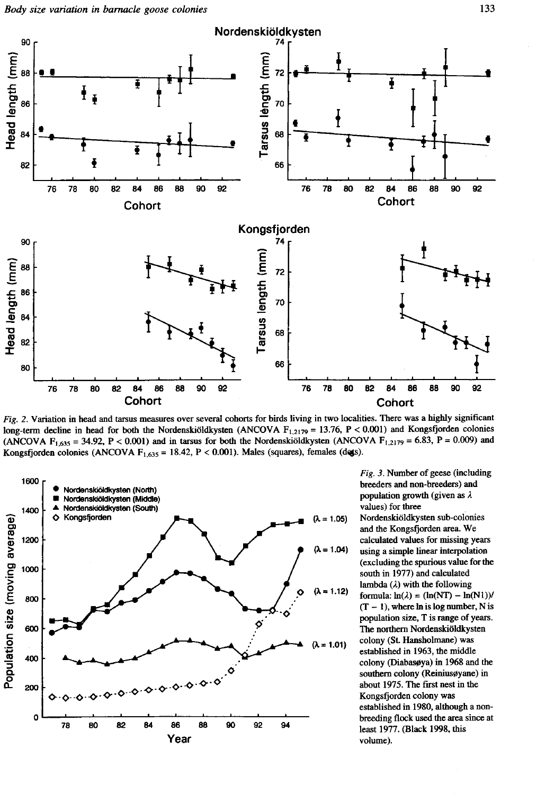

Fig. 2. Variation in head and tarsus measures over several cohorts for birds living in two localities. There was a highly significant long-term decline in head for both the Nordenskiöldkysten (ANCOVA  $F_{1,2179} = 13.76$ ,  $P < 0.001$ ) and Kongsfjorden colonies (ANCOVA F<sub>1,635</sub> = 34.92, P < 0.001) and in tarsus for both the Nordenskiöldkysten (ANCOVA F<sub>1,2179</sub> = 6.83, P = 0.009) and Kongsfjorden colonies (ANCOVA  $F_{1,635} = 18.42$ , P < 0.001). Males (squares), females (dets).



Fig. 3. Number of geese (including breeders and non-breeders) and population growth (given as  $\lambda$ values) for three Nordenskiöldkysten sub-colonies and the Kongsfjorden area. We calculated values for missing years using a simple linear interpolation (excluding the spurious value for the south in 1977) and calculated lambda  $(\lambda)$  with the following formula:  $ln(\lambda) = (ln(NT) - ln(N1))/$  $(T - 1)$ , where ln is log number, N is population size, T is range of years.

The northern Nordenskiöldkysten colony (St. Hansholmane) was established in 1963, the middle colony (Diabasøya) in 1968 and the southern colony (Reiniusøyane) in about 1975. The first nest in the Kongsfjorden colony was established in 1980, although a nonbreeding flock used the area since at least 1977. (Black 1998, this volume).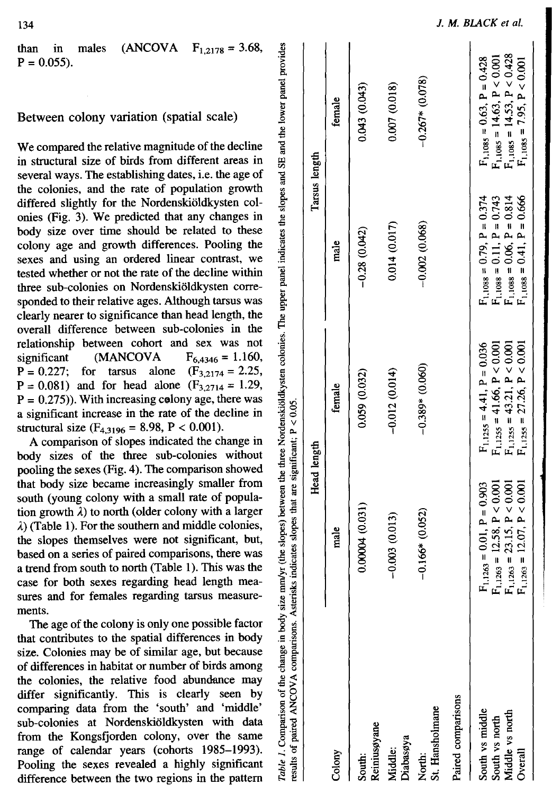than in males (ANCOV  $F_{1,2178} = 3.68$  $P = 0.055$ ).

## Between colony variation (spatial scale)

We compared the relative magnitude of the decline in structural size of birds from different areas in several ways. The establishing dates, i.e. the age of the colonies, and the rate of population growth differed slightly for the Nordenskioldkysten colonies (Fig. 3). We predicted that any changes in body size over time should be related to these colony age and growth differences. Pooling the sexes and using an ordered linear contrast, we tested whether or not the rate of the decline within three sub-colonies on Nordenskiöldkysten corresponded to their relative ages. Although tarsus was clearly nearer to significance than head length, the overall difference between sub-colonies in the relationship between cohort and sex was not significant (MANCOVA  $F_{6,4346} = 1.160,$ <br>( $F_{3,2174} = 2.25,$  $P = 0.227$ : for tarsus alone  $P = 0.081$ ) and for head alone  $(F_{3,2714} = 1.29)$ ,  $P = 0.275$ ). With increasing colony age, there was a significant increase in the rate of the decline in structural size  $(F_{4,3196} = 8.98, P < 0.001)$ .

A comparison of slopes indicated the change in body sizes of the three sub-colonies without pooling the sexes (Fig. 4). The comparison showed that body size became increasingly smaller from south (young colony with a small rate of population growth  $\lambda$ ) to north (older colony with a larger  $\lambda$ ) (Table 1). For the southern and middle colonies, the slopes themselves were not significant, but, based on a series of paired comparisons, there was a trend from south to north (Table 1). This was the case for both sexes regarding head length measures and for females regarding tarsus measurements.

The age of the colony is only one possible factor that contributes to the spatial differences in body size. Colonies may be of similar age, but because of differences in habitat or number of birds among the colonies, the relative food abundance may differ significantly. This is clearly seen by comparing data from the 'south' and 'middle' sub-colonies at Nordenskioldkysten with data from the Kongsfjorden colony, over the same range of calendar years (cohorts 1985-1993). Pooling the sexes revealed a highly significant difference between the two regions in the pattern

Table 1. Comparison of the change in body size mm/yr (the slopes) between the three Nordenskioldkysten colonies. The upper panel indicates the slopes and SE and the lower panel provides are significant:  $P < 0.05$ Acterisks indicates slopes that comparisons naired ANCOVA results of

| <b>Company of the company of the company of the company of the company of the company of the company of the company of the company of the company of the company of the company of the company of the company of the company of </b> | security and the contract of the contract of the contract of the contract of the contract of the contract of the contract of the contract of the contract of the contract of the contract of the contract of the contract of t |                                                                                                                                                  |                                                                                                                                                  |                                                                                                                                                                  |
|--------------------------------------------------------------------------------------------------------------------------------------------------------------------------------------------------------------------------------------|--------------------------------------------------------------------------------------------------------------------------------------------------------------------------------------------------------------------------------|--------------------------------------------------------------------------------------------------------------------------------------------------|--------------------------------------------------------------------------------------------------------------------------------------------------|------------------------------------------------------------------------------------------------------------------------------------------------------------------|
|                                                                                                                                                                                                                                      |                                                                                                                                                                                                                                | Head length                                                                                                                                      |                                                                                                                                                  | Tarsus length                                                                                                                                                    |
| Colony                                                                                                                                                                                                                               | male                                                                                                                                                                                                                           | female                                                                                                                                           | male                                                                                                                                             | female                                                                                                                                                           |
| Reiniusøyane<br>South:                                                                                                                                                                                                               | 0.00004(0.031)                                                                                                                                                                                                                 | 0.059 (0.032)                                                                                                                                    | $-0.28(0.042)$                                                                                                                                   | 0.043 (0.043)                                                                                                                                                    |
| Diabasøya<br>Middle:                                                                                                                                                                                                                 | $-0.003(0.013)$                                                                                                                                                                                                                | $-0.012(0.014)$                                                                                                                                  | 0.014 (0.017)                                                                                                                                    | 0.007 (0.018)                                                                                                                                                    |
| St. Hansholmane<br>North:                                                                                                                                                                                                            | $-0.166*(0.052)$                                                                                                                                                                                                               | $-0.389* (0.060)$                                                                                                                                | $-0.002(0.068)$                                                                                                                                  | $-0.267*$ (0.078)                                                                                                                                                |
| Paired comparisons                                                                                                                                                                                                                   |                                                                                                                                                                                                                                |                                                                                                                                                  |                                                                                                                                                  |                                                                                                                                                                  |
| South vs middle<br>Middle vs north<br>South vs north<br>Overall                                                                                                                                                                      | $F_{1,1263} = 12.07, P < 0.001$<br>$F_{1,1263} = 23.15, P < 0.001$<br>$F_{1,1263} = 12.58$ , $P < 0.001$<br>$F_{1,1263} = 0.01$ , $P = 0.903$                                                                                  | $F_{1,1255} = 41.66$ , $P < 0.001$<br>$F_{1,1255} = 27.26$ , $P < 0.001$<br>$F_{1,1255} = 4.41$ , $P = 0.036$<br>$F_{1,1255} = 43.21, P < 0.001$ | $F_{1,1088} = 0.79$ , $P = 0.374$<br>$F_{1,1088} = 0.11$ , $P = 0.743$<br>$F_{1,1088} = 0.06$ , $P = 0.814$<br>$F_{1,1088} = 0.41$ , $P = 0.666$ | $\begin{array}{l} \rm F_{1,1085}=0.63,\ P=0.428\\ \rm F_{1,1085}=14.63,\ P<0.001\\ \rm F_{1,1085}=14.53,\ P<0.428 \end{array}$<br>$F_{1,1085} = 7.95, P < 0.001$ |
|                                                                                                                                                                                                                                      |                                                                                                                                                                                                                                |                                                                                                                                                  |                                                                                                                                                  |                                                                                                                                                                  |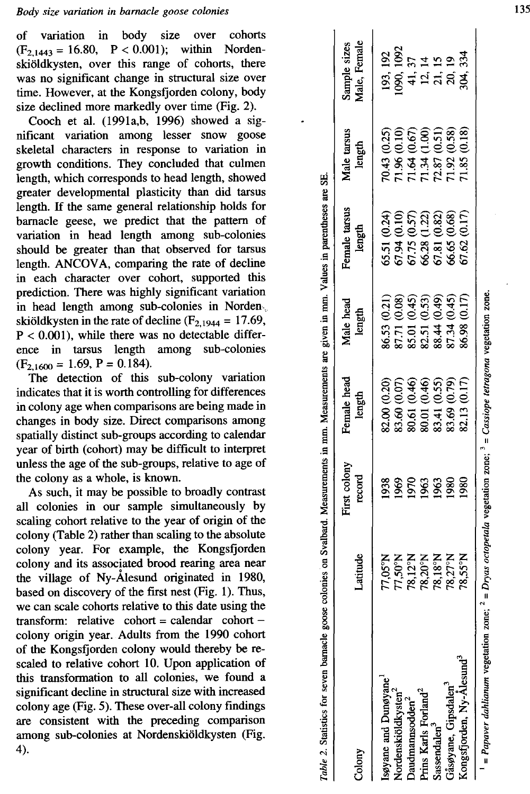variation in body size over cohorts of  $(F_{2.1443} = 16.80, P < 0.001)$ ; within Nordenskiöldkysten, over this range of cohorts, there was no significant change in structural size over time. However, at the Kongsfjorden colony, body size declined more markedly over time (Fig. 2).

Cooch et al. (1991a,b, 1996) showed a significant variation among lesser snow goose skeletal characters in response to variation in growth conditions. They concluded that culmen length, which corresponds to head length, showed greater developmental plasticity than did tarsus length. If the same general relationship holds for barnacle geese, we predict that the pattern of variation in head length among sub-colonies should be greater than that observed for tarsus length. ANCOVA, comparing the rate of decline in each character over cohort, supported this prediction. There was highly significant variation in head length among sub-colonies in Norden. skiöldkysten in the rate of decline ( $F_{2,1944} = 17.69$ ,  $P < 0.001$ ), while there was no detectable difference in tarsus length among sub-colonies  $(F_{2.1600} = 1.69, P = 0.184).$ 

The detection of this sub-colony variation indicates that it is worth controlling for differences in colony age when comparisons are being made in changes in body size. Direct comparisons among spatially distinct sub-groups according to calendar year of birth (cohort) may be difficult to interpret unless the age of the sub-groups, relative to age of the colony as a whole, is known.

As such, it may be possible to broadly contrast all colonies in our sample simultaneously by scaling cohort relative to the year of origin of the colony (Table 2) rather than scaling to the absolute colony year. For example, the Kongsfjorden colony and its associated brood rearing area near the village of Ny-Alesund originated in 1980, based on discovery of the first nest (Fig. 1). Thus, we can scale cohorts relative to this date using the transform: relative cohort = calendar cohort colony origin year. Adults from the 1990 cohort of the Kongsfjorden colony would thereby be rescaled to relative cohort 10. Upon application of this transformation to all colonies, we found a significant decline in structural size with increased colony age (Fig. 5). These over-all colony findings are consistent with the preceding comparison among sub-colonies at Nordenskiöldkysten (Fig. 4).

| Table 2. Statistics for seven barnacle goose                        |                    |                        |                                                                                         |                                                                              | colonies on Svalbard. Measurements in mm. Measurements are given in mm. Values in parentheses are SE.                                                     |                                                                              |                              |
|---------------------------------------------------------------------|--------------------|------------------------|-----------------------------------------------------------------------------------------|------------------------------------------------------------------------------|-----------------------------------------------------------------------------------------------------------------------------------------------------------|------------------------------------------------------------------------------|------------------------------|
| Colony                                                              | Latitude           | First colony<br>record | Female head<br>length                                                                   | Male head<br>length                                                          | Female tarsus<br>length                                                                                                                                   | Male tarsus<br>length                                                        | Sample sizes<br>Male, Female |
|                                                                     | 77,05°N            | 938                    | 82.00 (0.20)                                                                            | 86.53 (0.21)                                                                 | 55.51 (0.24)                                                                                                                                              | 70.43 (0.25)                                                                 |                              |
| søyane and Dunøyane <sup>1</sup><br>Nordenskiöldkysten <sup>2</sup> |                    | 1969                   | (0.07)<br>83.60                                                                         |                                                                              |                                                                                                                                                           |                                                                              | 193, 192<br>1090, 1092       |
| baudmannsodden <sup>2</sup>                                         | 77,50°N<br>78,12°N | 1963<br>1963           |                                                                                         | 87.71 (0.08)<br>85.01 (0.45)<br>82.51 (0.53)<br>88.44 (0.49)<br>87.34 (0.45) |                                                                                                                                                           | 71.96 (0.10)<br>71.64 (0.67)<br>71.34 (1.00)<br>72.87 (0.51)<br>71.92 (0.58) | 4115<br>4115<br>4158         |
| rins Karls Forland <sup>2</sup>                                     | 78,20°N<br>78,18°N |                        | 80.61 (0.46)<br>80.01 (0.46)<br>83.41 (0.55)                                            |                                                                              |                                                                                                                                                           |                                                                              |                              |
| Sassendalen <sup>3</sup>                                            |                    | 1963                   |                                                                                         |                                                                              |                                                                                                                                                           |                                                                              |                              |
| råsøyane, Gipsdalen <sup>3</sup>                                    | 78,27°N            | 980                    | 33.69 (0.79)                                                                            |                                                                              |                                                                                                                                                           |                                                                              |                              |
| Congsfjorden, Ny-Ålesund <sup>3</sup>                               | MSS <sub>3</sub>   | 980                    | 82.13 (0.17)                                                                            | 6.98 (0.17)                                                                  | $\begin{array}{l} 67.94 \ (0.10) \\ 67.75 \ (0.57) \\ 66.28 \ (1.22) \\ 66.28 \ (1.22) \\ 67.81 \ (0.82) \\ 66.65 \ (0.68) \\ 67.62 \ (0.17) \end{array}$ | /1.85(0.18)                                                                  |                              |
| = Papaver dahlianum vegetation zone;                                |                    |                        | $^{2}$ = Dryas octopetala vegetation zone; $^{2}$ = Cassiope tetragona vegetation zone. |                                                                              |                                                                                                                                                           |                                                                              |                              |

 $\frac{ab}{c}$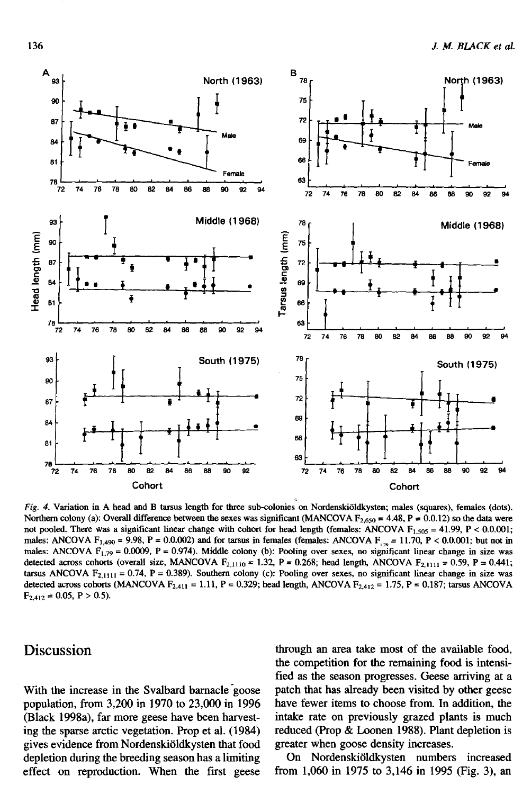

Fig. 4. Variation in A head and B tarsus length for three sub-colonies on Nordenskiöldkysten; males (squares), females (dots). Northern colony (a): Overall difference between the sexes was significant (MANCOVA  $F_{2,650} = 4.48$ ,  $P = 0.0.12$ ) so the data were not pooled. There was a significant linear change with cohort for head length (females: ANCOVA  $F_{1,505} = 41.99$ ,  $P < 0.0.001$ ; males: ANCOVA F<sub>1,490</sub> = 9.98, P = 0.0.002) and for tarsus in females (females: ANCOVA F<sub>1,79</sub> = 11.70, P < 0.0.001; but not in males: ANCOVA  $F_{1,79} = 0.0009$ , P = 0.974). Middle colony (b): Pooling over sexes, no significant linear change in size was detected across cohorts (overall size, MANCOVA  $F_{2,1110} = 1.32$ , P = 0.268; head length, ANCOVA  $F_{2,1111} = 0.59$ , P = 0.441; tarsus ANCOVA  $F_{2,1111} = 0.74$ ,  $P = 0.389$ ). Southern colony (c): Pooling over sexes, no significant linear change in size was detected across cohorts (MANCOVA  $F_{2,411} = 1.11$ , P = 0.329; head length, ANCOVA  $F_{2,412} = 1.75$ , P = 0.187; tarsus ANCOVA  $F_{2,412} = 0.05$ , P > 0.5).

# Discussion

With the increase in the Svalbard barnacle goose population, from 3,200 in 1970 to 23,000 in 1996 (Black 1998a), far more geese have been harvesting the sparse arctic vegetation. Prop et al. (1984) gives evidence from Nordenskiöldkysten that food depletion during the breeding season has a limiting effect on reproduction. When the first geese

through an area take most of the available food, the competition for the remaining food is intensified as the season progresses. Geese arriving at a patch that has already been visited by other geese have fewer items to choose from. In addition, the intake rate on previously grazed plants is much reduced (Prop & Loonen 1988). Plant depletion is greater when goose density increases.

On Nordenskiöldkysten numbers increased from 1,060 in 1975 to 3,146 in 1995 (Fig. 3), an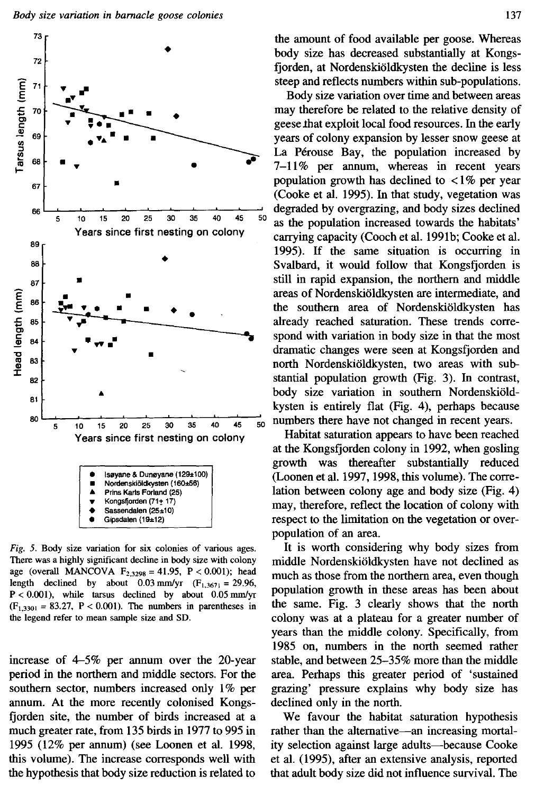

Fig. 5. Body size variation for six colonies of various ages. There was a highly significant decline in body size with colony age (overall MANCOVA  $F_{2,3298} = 41.95$ ,  $P < 0.001$ ); head length declined by about 0.03 mm/yr  $(F_{1,3671} = 29.96$ ,  $P < 0.001$ ), while tarsus declined by about 0.05 mm/yr  $(F<sub>1,3301</sub> = 83.27, P < 0.001)$ . The numbers in parentheses in the legend refer to mean sample size and SD.

increase of 4–5% per annum over the 20-year period in the northern and middle sectors. For the southern sector, numbers increased only 1% per annum. At the more recently colonised Kongsfjorden site, the number of birds increased at a much greater rate, from 135 birds in 1977 to 995 in 1995 (12% per annum) (see Loonen et al. 1998, this volume). The increase corresponds well with the hypothesis that body size reduction is related to

the amount of food available per goose. Whereas body size has decreased substantially at Kongsfjorden, at Nordenskiöldkysten the decline is less steep and reflects numbers within sub-populations.

Body size variation over time and between areas may therefore be related to the relative density of geese that exploit local food resources. In the early years of colony expansion by lesser snow geese at La Pérouse Bay, the population increased by 7-11% per annum, whereas in recent years population growth has declined to  $\langle 1\% \rangle$  per year (Cooke et al. 1995). In that study, vegetation was degraded by overgrazing, and body sizes declined as the population increased towards the habitats' carrying capacity (Cooch et al. 1991b; Cooke et al. 1995). If the same situation is occurring in Svalbard, it would follow that Kongsfjorden is still in rapid expansion, the northern and middle areas of Nordenskiöldkysten are intermediate, and the southern area of Nordenskiöldkysten has already reached saturation. These trends correspond with variation in body size in that the most dramatic changes were seen at Kongsfjorden and north Nordenskiöldkysten, two areas with substantial population growth (Fig. 3). In contrast, body size variation in southern Nordenskiöldkysten is entirely flat (Fig. 4), perhaps because numbers there have not changed in recent years.

Habitat saturation appears to have been reached at the Kongsfjorden colony in 1992, when gosling growth was thereafter substantially reduced (Loonen et al. 1997, 1998, this volume). The correlation between colony age and body size (Fig. 4) may, therefore, reflect the location of colony with respect to the limitation on the vegetation or overpopulation of an area.

It is worth considering why body sizes from middle Nordenskiöldkysten have not declined as much as those from the northern area, even though population growth in these areas has been about the same. Fig. 3 clearly shows that the north colony was at a plateau for a greater number of years than the middle colony. Specifically, from 1985 on, numbers in the north seemed rather stable, and between 25–35% more than the middle area. Perhaps this greater period of 'sustained grazing' pressure explains why body size has declined only in the north.

We favour the habitat saturation hypothesis rather than the alternative—an increasing mortality selection against large adults-because Cooke et al. (1995), after an extensive analysis, reported that adult body size did not influence survival. The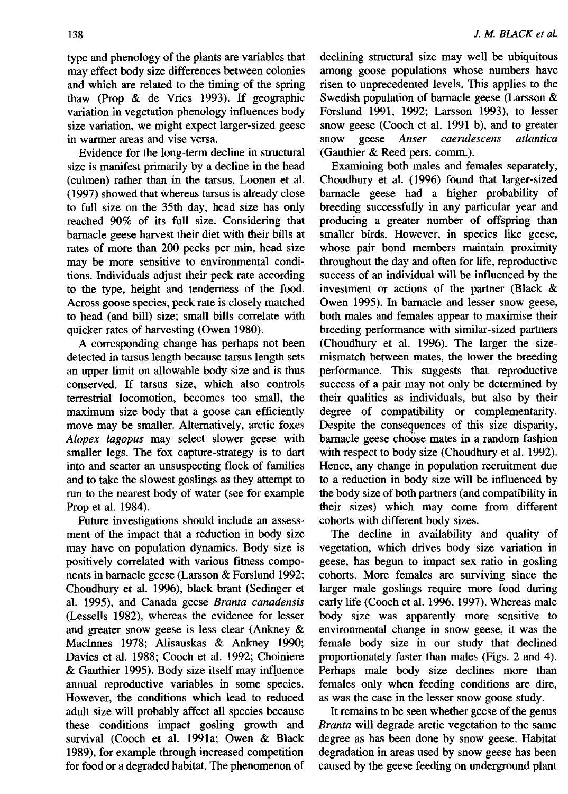type and phenology of the plants are variables that may effect body size differences between colonies and which are related to the timing of the spring thaw (Prop & de Vries 1993). If geographic variation in vegetation phenology influences body size variation, we might expect larger-sized geese in warmer areas and vise versa.

Evidence for the long-term decline in structural size is manifest primarily by a decline in the head (culmen) rather than in the tarsus. Loonen et al. (1997) showed that whereas tarsus is already close to full size on the 35th day, head size has only reached 90% of its full size. Considering that barnacle geese harvest their diet with their bills at rates of more than 200 pecks per min, head size may be more sensitive to environmental conditions. Individuals adjust their peck rate according to the type, height and tenderness of the food. Across goose species, peck rate is closely matched to head (and bill) size; small bills correlate with quicker rates of harvesting (Owen 1980).

A corresponding change has perhaps not been detected in tarsus length because tarsus length sets an upper limit on allowable body size and is thus conserved. If tarsus size, which also controls terrestrial locomotion, becomes too small, the maximum size body that a goose can efficiently move may be smaller. Alternatively, arctic foxes Alopex lagopus may select slower geese with smaller legs. The fox capture-strategy is to dart into and scatter an unsuspecting flock of families and to take the slowest goslings as they attempt to run to the nearest body of water (see for example Prop et al. 1984).

Future investigations should include an assessment of the impact that a reduction in body size may have on population dynamics. Body size is positively correlated with various fitness components in barnacle geese (Larsson & Forslund 1992; Choudhury et al. 1996), black brant (Sedinger et al. 1995), and Canada geese Branta canadensis (Lessells 1982), whereas the evidence for lesser and greater snow geese is less clear (Ankney & MacInnes 1978; Alisauskas & Ankney 1990; Davies et al. 1988; Cooch et al. 1992; Choiniere & Gauthier 1995). Body size itself may influence annual reproductive variables in some species. However, the conditions which lead to reduced adult size will probably affect all species because these conditions impact gosling growth and survival (Cooch et al. 1991a; Owen & Black 1989), for example through increased competition for food or a degraded habitat. The phenomenon of declining structural size may well be ubiquitous among goose populations whose numbers have risen to unprecedented levels. This applies to the Swedish population of barnacle geese (Larsson & Forslund 1991, 1992; Larsson 1993), to lesser snow geese (Cooch et al. 1991 b), and to greater Anser caerulescens snow geese atlantica (Gauthier & Reed pers. comm.).

Examining both males and females separately, Choudhury et al. (1996) found that larger-sized barnacle geese had a higher probability of breeding successfully in any particular year and producing a greater number of offspring than smaller birds. However, in species like geese, whose pair bond members maintain proximity throughout the day and often for life, reproductive success of an individual will be influenced by the investment or actions of the partner (Black & Owen 1995). In barnacle and lesser snow geese, both males and females appear to maximise their breeding performance with similar-sized partners (Choudhury et al. 1996). The larger the sizemismatch between mates, the lower the breeding performance. This suggests that reproductive success of a pair may not only be determined by their qualities as individuals, but also by their degree of compatibility or complementarity. Despite the consequences of this size disparity, barnacle geese choose mates in a random fashion with respect to body size (Choudhury et al. 1992). Hence, any change in population recruitment due to a reduction in body size will be influenced by the body size of both partners (and compatibility in their sizes) which may come from different cohorts with different body sizes.

The decline in availability and quality of vegetation, which drives body size variation in geese, has begun to impact sex ratio in gosling cohorts. More females are surviving since the larger male goslings require more food during early life (Cooch et al. 1996, 1997). Whereas male body size was apparently more sensitive to environmental change in snow geese, it was the female body size in our study that declined proportionately faster than males (Figs. 2 and 4). Perhaps male body size declines more than females only when feeding conditions are dire, as was the case in the lesser snow goose study.

It remains to be seen whether geese of the genus Branta will degrade arctic vegetation to the same degree as has been done by snow geese. Habitat degradation in areas used by snow geese has been caused by the geese feeding on underground plant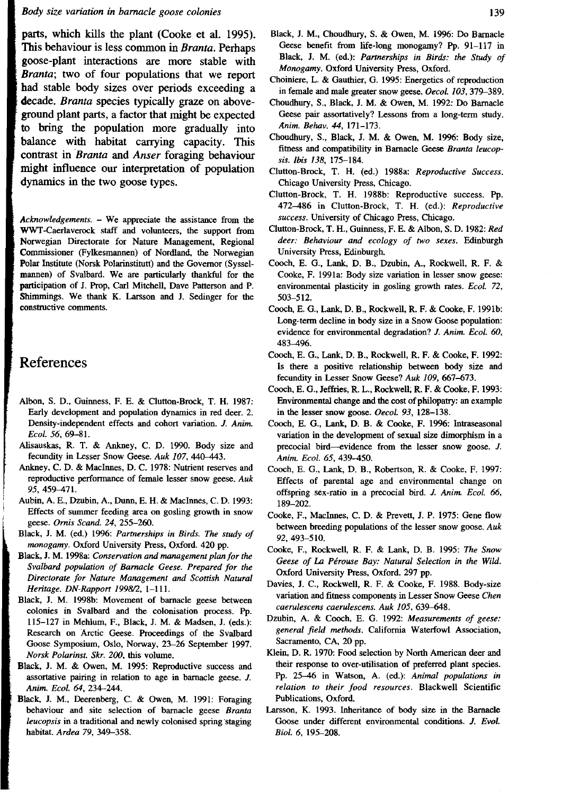### Body size variation in barnacle goose colonies

parts, which kills the plant (Cooke et al. 1995). This behaviour is less common in Branta. Perhaps goose-plant interactions are more stable with Branta; two of four populations that we report had stable body sizes over periods exceeding a decade. Branta species typically graze on aboveground plant parts, a factor that might be expected to bring the population more gradually into balance with habitat carrying capacity. This contrast in *Branta* and *Anser* foraging behaviour might influence our interpretation of population dynamics in the two goose types.

Acknowledgements. - We appreciate the assistance from the WWT-Caerlaverock staff and volunteers, the support from Norwegian Directorate for Nature Management, Regional Commissioner (Fylkesmannen) of Nordland, the Norwegian Polar Institute (Norsk Polarinstitutt) and the Governor (Sysselmannen) of Svalbard. We are particularly thankful for the participation of J. Prop, Carl Mitchell, Dave Patterson and P. Shimmings. We thank K. Larsson and J. Sedinger for the constructive comments.

# References

- Albon, S. D., Guinness, F. E. & Clutton-Brock, T. H. 1987: Early development and population dynamics in red deer. 2. Density-independent effects and cohort variation. J. Anim. Ecol. 56, 69-81.
- Alisauskas, R. T. & Ankney, C. D. 1990. Body size and fecundity in Lesser Snow Geese. Auk 107, 440-443.
- Ankney, C. D. & MacInnes, D. C. 1978: Nutrient reserves and reproductive performance of female lesser snow geese. Auk 95, 459-471.
- Aubin, A. E., Dzubin, A., Dunn, E. H. & MacInnes, C. D. 1993: Effects of summer feeding area on gosling growth in snow geese. Ornis Scand. 24, 255-260.
- Black, J. M. (ed.) 1996: Partnerships in Birds. The study of monogamy. Oxford University Press, Oxford. 420 pp.
- Black, J. M. 1998a: Conservation and management plan for the Svalbard population of Barnacle Geese. Prepared for the Directorate for Nature Management and Scottish Natural Heritage. DN-Rapport 1998/2, 1-111.
- Black, J. M. 1998b: Movement of barnacle geese between colonies in Svalbard and the colonisation process. Pp. 115-127 in Mehlum, F., Black, J. M. & Madsen, J. (eds.): Research on Arctic Geese. Proceedings of the Svalbard Goose Symposium, Oslo, Norway, 23-26 September 1997. Norsk Polarinst. Skr. 200, this volume.
- Black, J. M. & Owen, M. 1995: Reproductive success and assortative pairing in relation to age in barnacle geese. J. Anim. Ecol. 64, 234-244.
- Black, J. M., Deerenberg, C. & Owen, M. 1991: Foraging behaviour and site selection of barnacle geese Branta leucopsis in a traditional and newly colonised spring staging habitat. Ardea 79, 349-358.
- Black, J. M., Choudhury, S. & Owen, M. 1996: Do Barnacle Geese benefit from life-long monogamy? Pp. 91-117 in Black, J. M. (ed.): Partnerships in Birds: the Study of Monogamy. Oxford University Press, Oxford.
- Choiniere, L. & Gauthier, G. 1995: Energetics of reproduction in female and male greater snow geese. Oecol. 103, 379-389.
- Choudhury, S., Black, J. M. & Owen, M. 1992: Do Barnacle Geese pair assortatively? Lessons from a long-term study. Anim. Behav. 44, 171-173.
- Choudhury, S., Black, J. M. & Owen, M. 1996: Body size, fitness and compatibility in Barnacle Geese Branta leucopsis. Ibis 138, 175-184.
- Clutton-Brock, T. H. (ed.) 1988a: Reproductive Success. Chicago University Press, Chicago.
- Clutton-Brock, T. H. 1988b: Reproductive success. Pp. 472-486 in Clutton-Brock, T. H. (ed.): Reproductive success. University of Chicago Press, Chicago.
- Clutton-Brock, T. H., Guinness, F. E. & Albon, S. D. 1982: Red deer: Behaviour and ecology of two sexes. Edinburgh University Press, Edinburgh.
- Cooch, E. G., Lank, D. B., Dzubin, A., Rockwell, R. F. & Cooke, F. 1991a: Body size variation in lesser snow geese: environmental plasticity in gosling growth rates. Ecol. 72, 503-512.
- Cooch, E. G., Lank, D. B., Rockwell, R. F. & Cooke, F. 1991b: Long-term decline in body size in a Snow Goose population: evidence for environmental degradation? J. Anim. Ecol. 60, 483-496.
- Cooch, E. G., Lank, D. B., Rockwell, R. F. & Cooke, F. 1992: Is there a positive relationship between body size and fecundity in Lesser Snow Geese? Auk 109, 667-673.
- Cooch, E. G., Jeffries, R. L., Rockwell, R. F. & Cooke, F. 1993: Environmental change and the cost of philopatry: an example in the lesser snow goose. Oecol. 93, 128-138.
- Cooch, E. G., Lank, D. B. & Cooke, F. 1996: Intraseasonal variation in the development of sexual size dimorphism in a precocial bird—evidence from the lesser snow goose. J. Anim. Ecol. 65, 439-450.
- Cooch, E. G., Lank, D. B., Robertson, R. & Cooke, F. 1997: Effects of parental age and environmental change on offspring sex-ratio in a precocial bird. J. Anim. Ecol. 66, 189-202.
- Cooke, F., MacInnes, C. D. & Prevett, J. P. 1975: Gene flow between breeding populations of the lesser snow goose. Auk 92, 493-510.
- Cooke, F., Rockwell, R. F. & Lank, D. B. 1995: The Snow Geese of La Pérouse Bay: Natural Selection in the Wild. Oxford University Press, Oxford. 297 pp.
- Davies, J. C., Rockwell, R. F. & Cooke, F. 1988. Body-size variation and fitness components in Lesser Snow Geese Chen caerulescens caerulescens. Auk 105, 639-648.
- Dzubin, A. & Cooch, E. G. 1992: Measurements of geese: general field methods. California Waterfowl Association, Sacramento, CA, 20 pp.
- Klein, D. R. 1970: Food selection by North American deer and their response to over-utilisation of preferred plant species. Pp. 25-46 in Watson, A. (ed.): Animal populations in relation to their food resources. Blackwell Scientific Publications, Oxford.
- Larsson, K. 1993. Inheritance of body size in the Barnacle Goose under different environmental conditions. J. Evol. Biol. 6, 195-208.